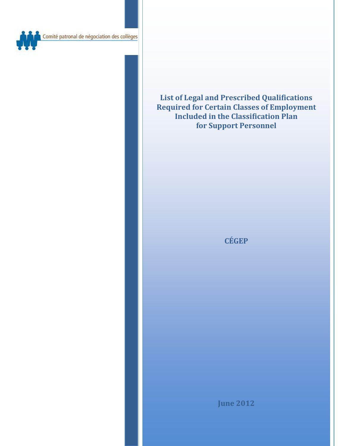

**List of Legal and Prescribed Qualifications Required for Certain Classes of Employment Included in the Classification Plan for Support Personnel** 

**CÉGEP**

**June 2012**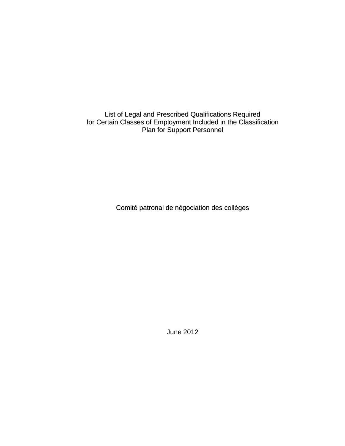List of Legal and Prescribed Qualifications Required for Certain Classes of Employment Included in the Classification Plan for Support Personnel

Comité patronal de négociation des collèges

June 2012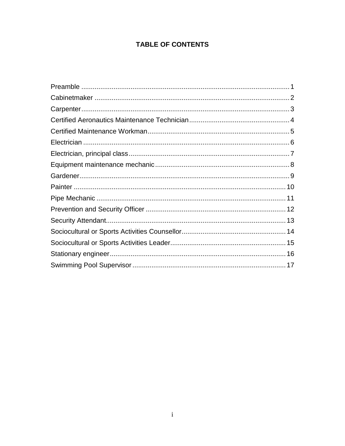# **TABLE OF CONTENTS**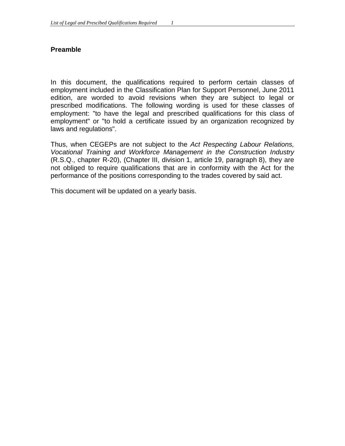#### **Preamble**

In this document, the qualifications required to perform certain classes of employment included in the Classification Plan for Support Personnel, June 2011 edition, are worded to avoid revisions when they are subject to legal or prescribed modifications. The following wording is used for these classes of employment: "to have the legal and prescribed qualifications for this class of employment" or "to hold a certificate issued by an organization recognized by laws and regulations".

Thus, when CEGEPs are not subject to the *Act Respecting Labour Relations, Vocational Training and Workforce Management in the Construction Industry* (R.S.Q., chapter R-20), (Chapter III, division 1, article 19, paragraph 8), they are not obliged to require qualifications that are in conformity with the Act for the performance of the positions corresponding to the trades covered by said act.

This document will be updated on a yearly basis.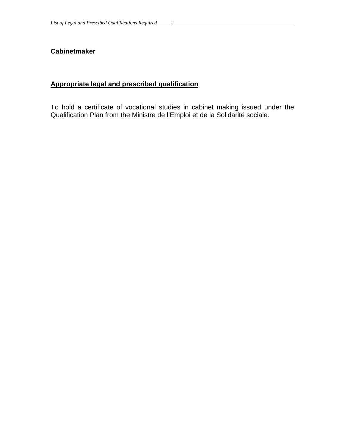### **Cabinetmaker**

# **Appropriate legal and prescribed qualification**

To hold a certificate of vocational studies in cabinet making issued under the Qualification Plan from the Ministre de l'Emploi et de la Solidarité sociale.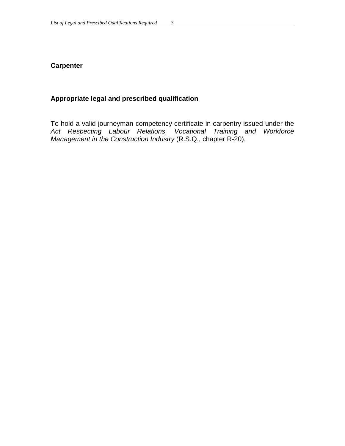### **Carpenter**

### **Appropriate legal and prescribed qualification**

To hold a valid journeyman competency certificate in carpentry issued under the *Act Respecting Labour Relations, Vocational Training and Workforce Management in the Construction Industry* (R.S.Q., chapter R-20).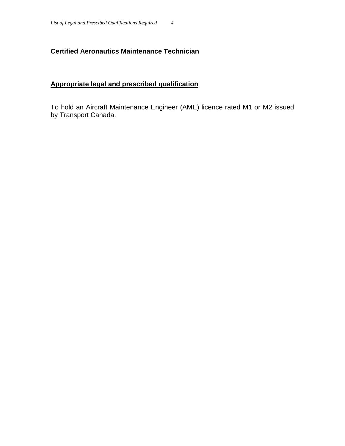# **Certified Aeronautics Maintenance Technician**

# **Appropriate legal and prescribed qualification**

To hold an Aircraft Maintenance Engineer (AME) licence rated M1 or M2 issued by Transport Canada.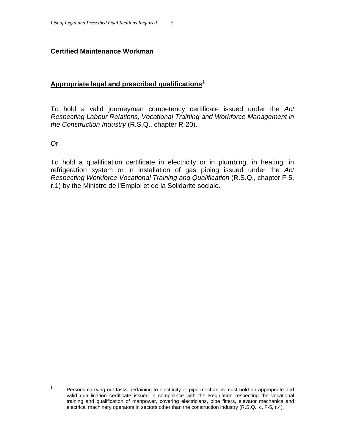# **Certified Maintenance Workman**

# **Appropriate legal and prescribed qualifications**[1](#page-9-0)

To hold a valid journeyman competency certificate issued under the *Act Respecting Labour Relations, Vocational Training and Workforce Management in the Construction Industry* (R.S.Q., chapter R-20).

Or

To hold a qualification certificate in electricity or in plumbing, in heating, in refrigeration system or in installation of gas piping issued under the *Act Respecting Workforce Vocational Training and Qualification* (R.S.Q., chapter F-5, r.1) by the Ministre de l'Emploi et de la Solidarité sociale.

<span id="page-9-0"></span> $1$  Persons carrying out tasks pertaining to electricity or pipe mechanics must hold an appropriate and valid qualification certificate issued in compliance with the Regulation respecting the vocational training and qualification of manpower, covering electricians, pipe fitters, elevator mechanics and electrical machinery operators in sectors other than the construction industry (R.S.Q., c. F-5**,** r.4).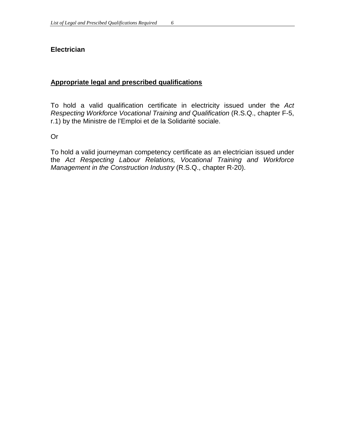### **Electrician**

### **Appropriate legal and prescribed qualifications**

To hold a valid qualification certificate in electricity issued under the *Act Respecting Workforce Vocational Training and Qualification* (R.S.Q., chapter F-5, r.1) by the Ministre de l'Emploi et de la Solidarité sociale.

Or

To hold a valid journeyman competency certificate as an electrician issued under the *Act Respecting Labour Relations, Vocational Training and Workforce Management in the Construction Industry* (R.S.Q., chapter R-20).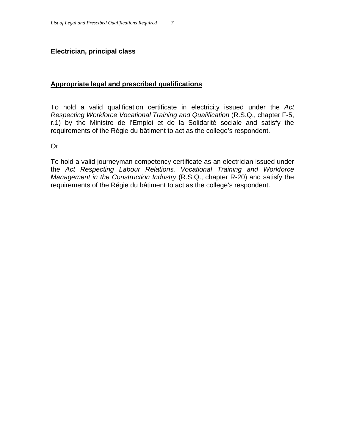### **Electrician, principal class**

#### **Appropriate legal and prescribed qualifications**

To hold a valid qualification certificate in electricity issued under the *Act Respecting Workforce Vocational Training and Qualification* (R.S.Q., chapter F-5, r.1) by the Ministre de l'Emploi et de la Solidarité sociale and satisfy the requirements of the Régie du bâtiment to act as the college's respondent.

Or

To hold a valid journeyman competency certificate as an electrician issued under the *Act Respecting Labour Relations, Vocational Training and Workforce Management in the Construction Industry* (R.S.Q., chapter R-20) and satisfy the requirements of the Régie du bâtiment to act as the college's respondent.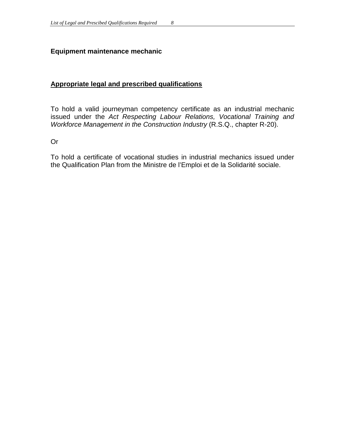### **Equipment maintenance mechanic**

### **Appropriate legal and prescribed qualifications**

To hold a valid journeyman competency certificate as an industrial mechanic issued under the *Act Respecting Labour Relations, Vocational Training and Workforce Management in the Construction Industry (R.S.Q., chapter R-20).* 

Or

To hold a certificate of vocational studies in industrial mechanics issued under the Qualification Plan from the Ministre de l'Emploi et de la Solidarité sociale.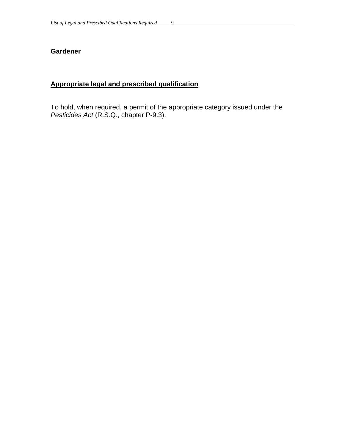### **Gardener**

# **Appropriate legal and prescribed qualification**

To hold, when required, a permit of the appropriate category issued under the *Pesticides Act* (R.S.Q., chapter P-9.3).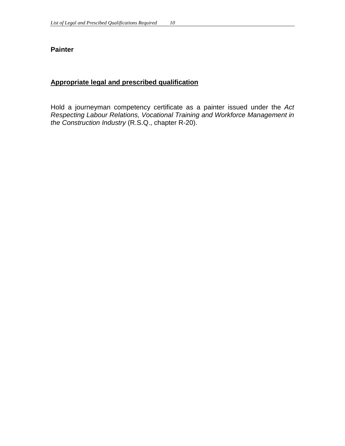#### **Painter**

# **Appropriate legal and prescribed qualification**

Hold a journeyman competency certificate as a painter issued under the *Act Respecting Labour Relations, Vocational Training and Workforce Management in the Construction Industry* (R.S.Q., chapter R-20).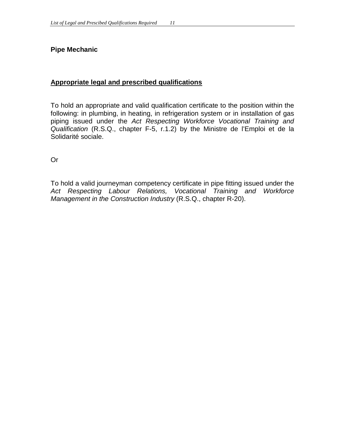#### **Pipe Mechanic**

### **Appropriate legal and prescribed qualifications**

To hold an appropriate and valid qualification certificate to the position within the following: in plumbing, in heating, in refrigeration system or in installation of gas piping issued under the *Act Respecting Workforce Vocational Training and Qualification* (R.S.Q., chapter F-5, r.1.2) by the Ministre de l'Emploi et de la Solidarité sociale.

Or

To hold a valid journeyman competency certificate in pipe fitting issued under the *Act Respecting Labour Relations, Vocational Training and Workforce Management in the Construction Industry* (R.S.Q., chapter R-20).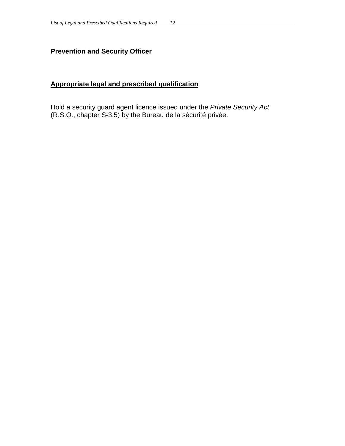# **Prevention and Security Officer**

# **Appropriate legal and prescribed qualification**

Hold a security guard agent licence issued under the *Private Security Act*  (R.S.Q., chapter S-3.5) by the Bureau de la sécurité privée.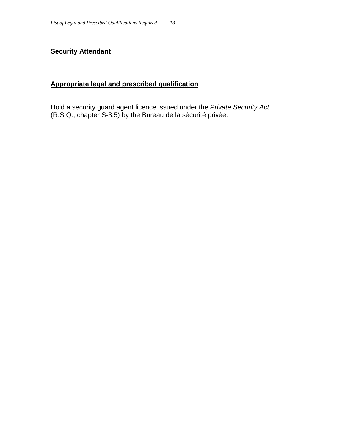# **Security Attendant**

# **Appropriate legal and prescribed qualification**

Hold a security guard agent licence issued under the *Private Security Act*  (R.S.Q., chapter S-3.5) by the Bureau de la sécurité privée.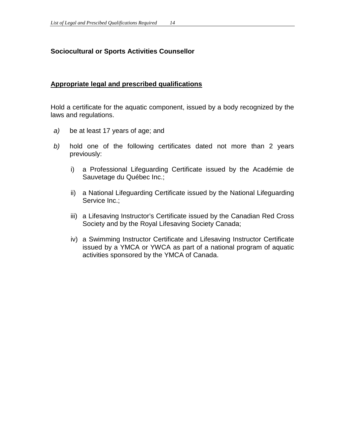### **Sociocultural or Sports Activities Counsellor**

#### **Appropriate legal and prescribed qualifications**

Hold a certificate for the aquatic component, issued by a body recognized by the laws and regulations.

- *a)* be at least 17 years of age; and
- *b)* hold one of the following certificates dated not more than 2 years previously:
	- i) a Professional Lifeguarding Certificate issued by the Académie de Sauvetage du Québec Inc.;
	- ii) a National Lifeguarding Certificate issued by the National Lifeguarding Service Inc.;
	- iii) a Lifesaving Instructor's Certificate issued by the Canadian Red Cross Society and by the Royal Lifesaving Society Canada;
	- iv) a Swimming Instructor Certificate and Lifesaving Instructor Certificate issued by a YMCA or YWCA as part of a national program of aquatic activities sponsored by the YMCA of Canada.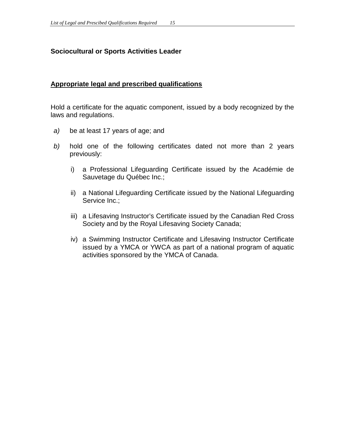### **Sociocultural or Sports Activities Leader**

#### **Appropriate legal and prescribed qualifications**

Hold a certificate for the aquatic component, issued by a body recognized by the laws and regulations.

- *a)* be at least 17 years of age; and
- *b)* hold one of the following certificates dated not more than 2 years previously:
	- i) a Professional Lifeguarding Certificate issued by the Académie de Sauvetage du Québec Inc.;
	- ii) a National Lifeguarding Certificate issued by the National Lifeguarding Service Inc.;
	- iii) a Lifesaving Instructor's Certificate issued by the Canadian Red Cross Society and by the Royal Lifesaving Society Canada;
	- iv) a Swimming Instructor Certificate and Lifesaving Instructor Certificate issued by a YMCA or YWCA as part of a national program of aquatic activities sponsored by the YMCA of Canada.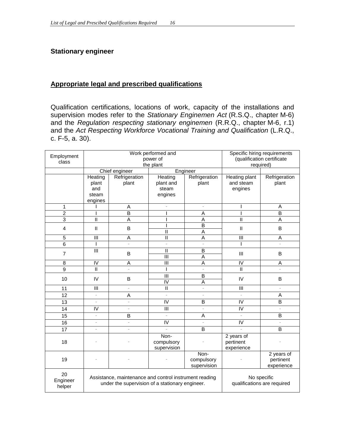### **Stationary engineer**

#### **Appropriate legal and prescribed qualifications**

Qualification certifications, locations of work, capacity of the installations and supervision modes refer to the *Stationary Enginemen Act* (R.S.Q., chapter M-6) and the *Regulation respecting stationary enginemen* (R.R.Q., chapter M-6, r.1) and the *Act Respecting Workforce Vocational Training and Qualification* (L.R.Q., c. F-5, a. 30).

| Employment      | Work performed and<br>power of                         |                          |                         |                          | Specific hiring requirements<br>(qualification certificate |                            |   |
|-----------------|--------------------------------------------------------|--------------------------|-------------------------|--------------------------|------------------------------------------------------------|----------------------------|---|
| class           | the plant                                              |                          |                         |                          | required)                                                  |                            |   |
|                 | Chief engineer<br>Engineer                             |                          |                         |                          |                                                            |                            |   |
|                 | Heating                                                | Refrigeration            | Heating                 | Refrigeration            | Heating plant                                              | Refrigeration              |   |
|                 | plant                                                  | plant                    | plant and               | plant                    | and steam                                                  | plant                      |   |
|                 | and                                                    |                          | steam                   |                          | engines                                                    |                            |   |
|                 | steam                                                  |                          | engines                 |                          |                                                            |                            |   |
|                 | engines                                                |                          |                         |                          |                                                            |                            |   |
| 1               |                                                        | A                        |                         | $\overline{\phantom{a}}$ |                                                            | A                          |   |
| $\overline{2}$  |                                                        | B                        |                         | A                        |                                                            | $\overline{B}$             |   |
| $\overline{3}$  | $\mathbf{I}$                                           | A                        |                         | A                        | $\mathbf{I}$                                               | A                          |   |
| $\overline{4}$  |                                                        | $\mathsf{I}$             | B                       |                          | $\mathsf B$                                                | $\ensuremath{\mathsf{II}}$ | B |
|                 |                                                        |                          | $\mathsf{I}$            | A                        |                                                            |                            |   |
| 5               | Ш                                                      | A                        | $\mathbf{I}$            | A                        | Ш                                                          | A                          |   |
| $6\phantom{1}6$ | T                                                      |                          |                         | $\overline{a}$           |                                                            |                            |   |
| $\overline{7}$  | $\overline{\mathbf{m}}$                                | B                        | $\mathsf{II}$           | $\mathsf B$              | III                                                        | B                          |   |
|                 |                                                        |                          |                         | $\overline{\mathbb{I}}$  | $\overline{A}$                                             |                            |   |
| 8               | $\overline{\overline{\mathsf{V}}}$                     | A                        | $\overline{\mathbb{I}}$ | $\overline{A}$           | $\overline{N}$                                             | A                          |   |
| $\overline{9}$  | $\mathbf{I}$                                           |                          |                         | $\overline{a}$           | $\overline{\mathsf{I}}$                                    |                            |   |
| 10              | IV                                                     | B                        | $\mathbf{III}$          | $\overline{B}$           | IV                                                         | В                          |   |
|                 |                                                        |                          |                         | $\overline{\mathsf{I}}$  | A                                                          |                            |   |
| 11              | Ш                                                      | $\frac{1}{2}$            | $\mathbf{I}$            | $\overline{a}$           | Ш                                                          |                            |   |
| 12              | $\overline{a}$                                         | A                        | $\overline{a}$          | $\overline{a}$           |                                                            | A                          |   |
| 13              | $\overline{a}$                                         | $\overline{a}$           | $\overline{\mathsf{I}}$ | B                        | $\overline{\mathsf{I}}$                                    | $\overline{B}$             |   |
| 14              | $\overline{\overline{\mathsf{V}}}$                     | $\overline{\phantom{a}}$ | Ш                       | $\overline{\phantom{a}}$ | IV                                                         | $\frac{1}{2}$              |   |
| 15              | $\overline{\phantom{a}}$                               | B                        | $\overline{a}$          | A                        |                                                            | $\overline{B}$             |   |
| 16              | $\bar{\phantom{a}}$                                    | $\frac{1}{2}$            | $\overline{\mathsf{I}}$ | $\frac{1}{2}$            | $\overline{N}$                                             | $\overline{\phantom{0}}$   |   |
| 17              | $\frac{1}{2}$                                          | $\bar{\phantom{a}}$      | $\overline{a}$          | B                        | $\overline{a}$                                             | $\overline{B}$             |   |
|                 |                                                        |                          | Non-                    |                          | 2 years of                                                 |                            |   |
| 18              |                                                        |                          | compulsory              |                          | pertinent                                                  |                            |   |
|                 |                                                        |                          | supervision             |                          | experience                                                 |                            |   |
|                 |                                                        |                          | Non-                    |                          | 2 years of                                                 |                            |   |
| 19              |                                                        |                          |                         | compulsory               |                                                            | pertinent                  |   |
|                 |                                                        |                          |                         | supervision              |                                                            | experience                 |   |
| 20              | Assistance, maintenance and control instrument reading |                          |                         |                          | No specific<br>qualifications are required                 |                            |   |
| Engineer        | under the supervision of a stationary engineer.        |                          |                         |                          |                                                            |                            |   |
| helper          |                                                        |                          |                         |                          |                                                            |                            |   |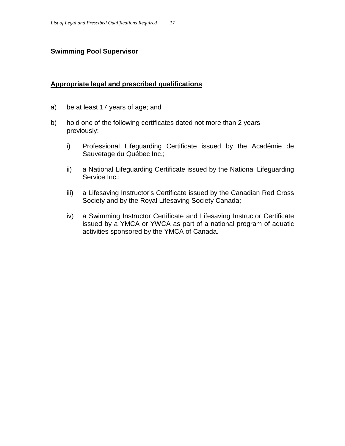### **Swimming Pool Supervisor**

#### **Appropriate legal and prescribed qualifications**

- a) be at least 17 years of age; and
- b) hold one of the following certificates dated not more than 2 years previously:
	- i) Professional Lifeguarding Certificate issued by the Académie de Sauvetage du Québec Inc.;
	- ii) a National Lifeguarding Certificate issued by the National Lifeguarding Service Inc.;
	- iii) a Lifesaving Instructor's Certificate issued by the Canadian Red Cross Society and by the Royal Lifesaving Society Canada;
	- iv) a Swimming Instructor Certificate and Lifesaving Instructor Certificate issued by a YMCA or YWCA as part of a national program of aquatic activities sponsored by the YMCA of Canada.